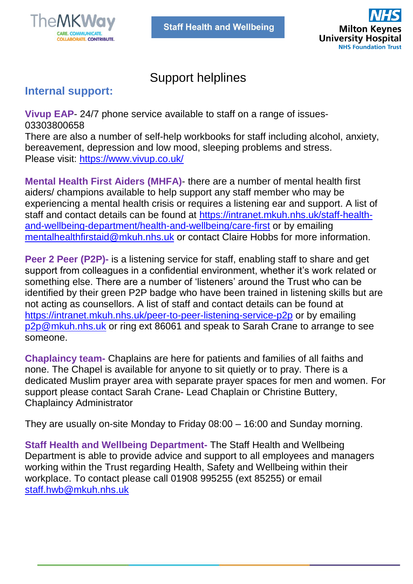

l



# Support helplines

## **Internal support:**

**Vivup EAP**- 24/7 phone service available to staff on a range of issues-03303800658

There are also a number of self-help workbooks for staff including alcohol, anxiety, bereavement, depression and low mood, sleeping problems and stress. Please visit:<https://www.vivup.co.uk/>

**Mental Health First Aiders (MHFA)**- there are a number of mental health first aiders/ champions available to help support any staff member who may be experiencing a mental health crisis or requires a listening ear and support. A list of staff and contact details can be found at [https://intranet.mkuh.nhs.uk/staff-health](https://intranet.mkuh.nhs.uk/staff-health-and-wellbeing-department/health-and-wellbeing/care-first)[and-wellbeing-department/health-and-wellbeing/care-first](https://intranet.mkuh.nhs.uk/staff-health-and-wellbeing-department/health-and-wellbeing/care-first) or by emailing [mentalhealthfirstaid@mkuh.nhs.uk](mailto:mentalhealthfirstaid@mkuh.nhs.uk) or contact Claire Hobbs for more information.

**Peer 2 Peer (P2P)-** is a listening service for staff, enabling staff to share and get support from colleagues in a confidential environment, whether it's work related or something else. There are a number of 'listeners' around the Trust who can be identified by their green P2P badge who have been trained in listening skills but are not acting as counsellors. A list of staff and contact details can be found at <https://intranet.mkuh.nhs.uk/peer-to-peer-listening-service-p2p> or by emailing [p2p@mkuh.nhs.uk](mailto:p2p@mkuh.nhs.uk) or ring ext 86061 and speak to Sarah Crane to arrange to see someone.

**Chaplaincy team-** Chaplains are here for patients and families of all faiths and none. The Chapel is available for anyone to sit quietly or to pray. There is a dedicated Muslim prayer area with separate prayer spaces for men and women. For support please contact Sarah Crane- Lead Chaplain or Christine Buttery, Chaplaincy Administrator

They are usually on-site Monday to Friday 08:00 – 16:00 and Sunday morning.

**Staff Health and Wellbeing Department-** The Staff Health and Wellbeing Department is able to provide advice and support to all employees and managers working within the Trust regarding Health, Safety and Wellbeing within their workplace. To contact please call 01908 995255 (ext 85255) or email [staff.hwb@mkuh.nhs.uk](mailto:staff.hwb@mkuh.nhs.uk)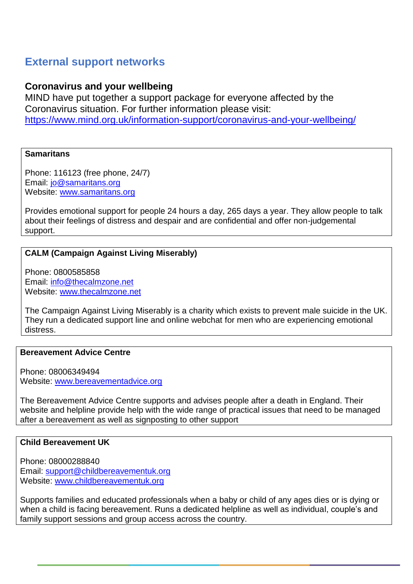## **External support networks**

## **Coronavirus and your wellbeing**

MIND have put together a support package for everyone affected by the Coronavirus situation. For further information please visit: <https://www.mind.org.uk/information-support/coronavirus-and-your-wellbeing/>

#### **Samaritans**

Phone: 116123 (free phone, 24/7) Email: [jo@samaritans.org](mailto:jo@samaritans.org) Website: [www.samaritans.org](http://www.samaritans.org/)

Provides emotional support for people 24 hours a day, 265 days a year. They allow people to talk about their feelings of distress and despair and are confidential and offer non-judgemental support.

## **CALM (Campaign Against Living Miserably)**

Phone: 0800585858 Email: [info@thecalmzone.net](mailto:info@thecalmzone.net) Website: [www.thecalmzone.net](http://www.thecalmzone.net/)

The Campaign Against Living Miserably is a charity which exists to prevent male suicide in the UK. They run a dedicated support line and online webchat for men who are experiencing emotional distress.

#### **Bereavement Advice Centre**

Phone: 08006349494 Website: [www.bereavementadvice.org](http://www.bereavementadvice.org/)

The Bereavement Advice Centre supports and advises people after a death in England. Their website and helpline provide help with the wide range of practical issues that need to be managed after a bereavement as well as signposting to other support

## **Child Bereavement UK**

Phone: 08000288840 Email: [support@childbereavementuk.org](mailto:support@childbereavementuk.org) Website: [www.childbereavementuk.org](http://www.childbereavementuk.org/)

Supports families and educated professionals when a baby or child of any ages dies or is dying or when a child is facing bereavement. Runs a dedicated helpline as well as individual, couple's and family support sessions and group access across the country.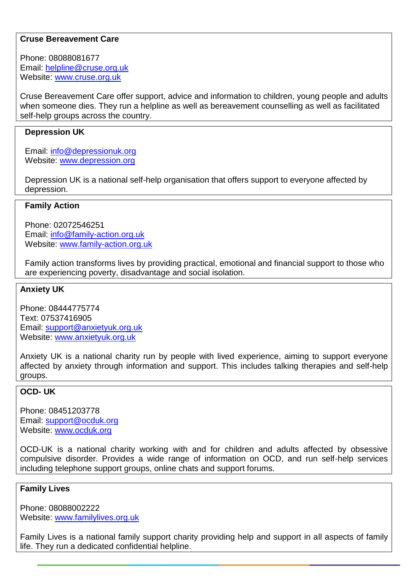#### **Cruse Bereavement Care**

Phone: 08088081677 Email: [helpline@cruse.org.uk](mailto:helpline@cruse.org.uk) Website: [www.cruse.org.uk](http://www.cruse.org.uk/)

Cruse Bereavement Care offer support, advice and information to children, young people and adults when someone dies. They run a helpline as well as bereavement counselling as well as facilitated self-help groups across the country.

#### **Depression UK**

Email: [info@depressionuk.org](mailto:info@depressionuk.org) Website: [www.depression.org](http://www.depression.org/)

Depression UK is a national self-help organisation that offers support to everyone affected by depression.

#### **Family Action**

Phone: 02072546251 Email: [info@family-action.org.uk](mailto:info@family-action.org.uk) Website: [www.family-action.org.uk](http://www.family-action.org.uk/)

Family action transforms lives by providing practical, emotional and financial support to those who are experiencing poverty, disadvantage and social isolation.

#### **Anxiety UK**

Phone: 08444775774 Text: 07537416905 Email: [support@anxietyuk.org.uk](mailto:support@anxietyuk.org.uk) Website: [www.anxietyuk.org.uk](http://www.anxietyuk.org.uk/)

Anxiety UK is a national charity run by people with lived experience, aiming to support everyone affected by anxiety through information and support. This includes talking therapies and self-help groups.

## **OCD- UK**

Phone: 08451203778 Email: [support@ocduk.org](mailto:support@ocduk.org) Website: [www.ocduk.org](http://www.ocduk.org/)

OCD-UK is a national charity working with and for children and adults affected by obsessive compulsive disorder. Provides a wide range of information on OCD, and run self-help services including telephone support groups, online chats and support forums.

#### **Family Lives**

Phone: 08088002222 Website: [www.familylives.org.uk](http://www.familylives.org.uk/)

Family Lives is a national family support charity providing help and support in all aspects of family life. They run a dedicated confidential helpline.